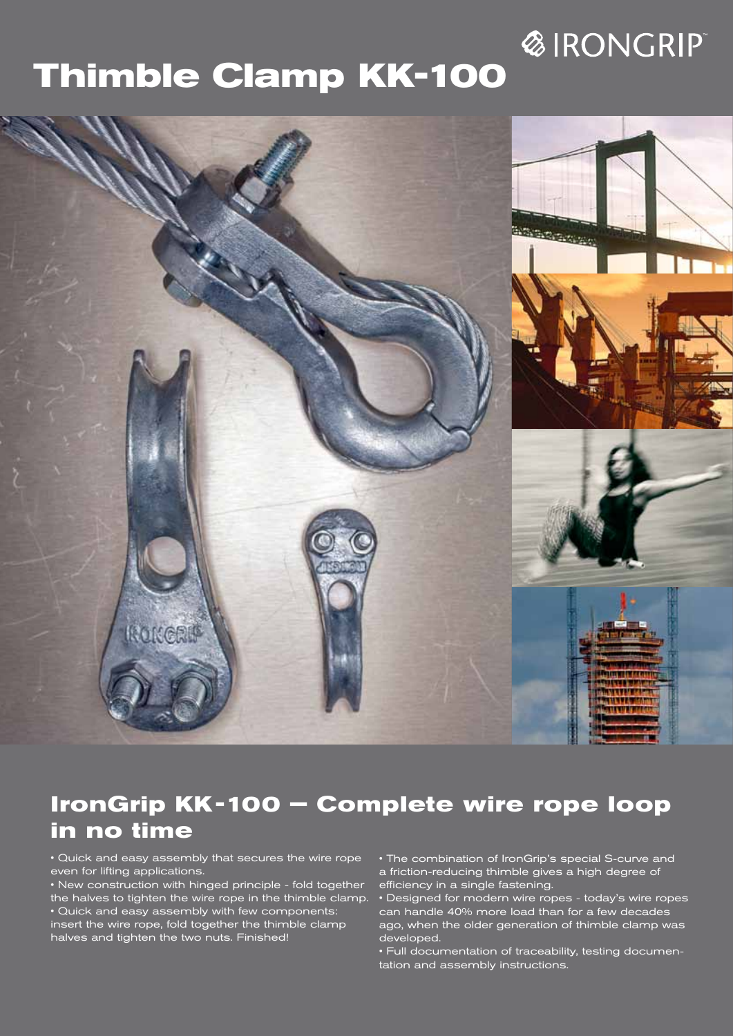# **&IRONGRIP**

# **Thimble Clamp KK-100**



# **IronGrip KK -100 – Complete wire rope loop in no time**

• Quick and easy assembly that secures the wire rope even for lifting applications.

• New construction with hinged principle - fold together the halves to tighten the wire rope in the thimble clamp. • Quick and easy assembly with few components: insert the wire rope, fold together the thimble clamp halves and tighten the two nuts. Finished!

• The combination of IronGrip's special S-curve and a friction-reducing thimble gives a high degree of efficiency in a single fastening.

• Designed for modern wire ropes - today's wire ropes can handle 40% more load than for a few decades ago, when the older generation of thimble clamp was developed.

• Full documentation of traceability, testing documentation and assembly instructions.